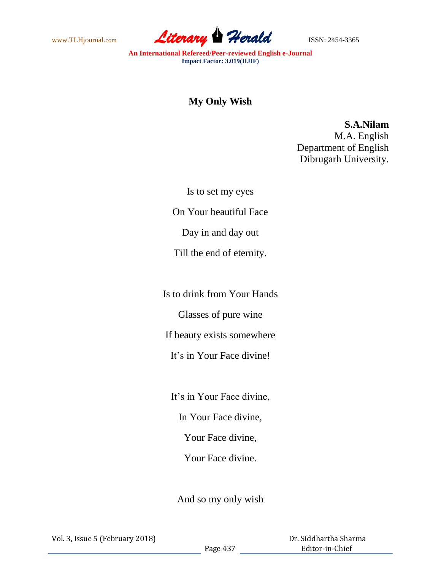

**An International Refereed/Peer-reviewed English e-Journal Impact Factor: 3.019(IIJIF)**

## **My Only Wish**

**S.A.Nilam**

M.A. English Department of English Dibrugarh University.

Is to set my eyes

On Your beautiful Face

Day in and day out

Till the end of eternity.

Is to drink from Your Hands

Glasses of pure wine

If beauty exists somewhere

It's in Your Face divine!

It's in Your Face divine,

In Your Face divine,

Your Face divine,

Your Face divine.

And so my only wish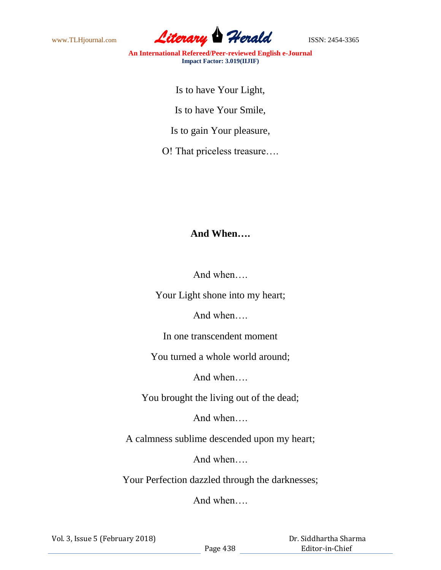

**An International Refereed/Peer-reviewed English e-Journal Impact Factor: 3.019(IIJIF)**

Is to have Your Light,

Is to have Your Smile,

Is to gain Your pleasure,

O! That priceless treasure….

## **And When….**

And when….

Your Light shone into my heart;

And when….

In one transcendent moment

You turned a whole world around;

And when….

You brought the living out of the dead;

And when….

A calmness sublime descended upon my heart;

And when….

Your Perfection dazzled through the darknesses;

And when….

Vol. 3, Issue 5 (February 2018)

 Dr. Siddhartha Sharma Editor-in-Chief